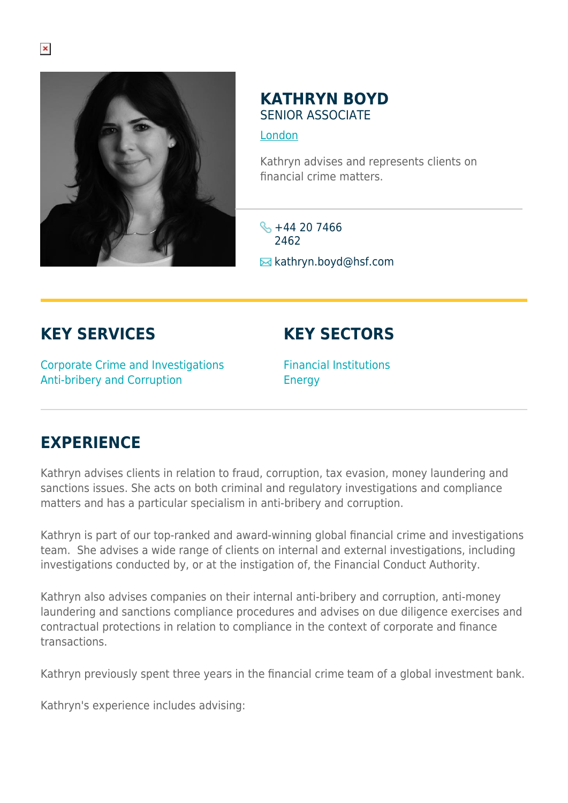

## **KATHRYN BOYD** SENIOR ASSOCIATE

[London](https://www.herbertsmithfreehills.com/where-we-work/london)

Kathryn advises and represents clients on financial crime matters.

 $\frac{1}{2}$  +44 20 7466 2462 **E** kathryn.boyd@hsf.com

## **KEY SERVICES**

## **KEY SECTORS**

Corporate Crime and Investigations Anti-bribery and Corruption

Financial Institutions Energy

## **EXPERIENCE**

Kathryn advises clients in relation to fraud, corruption, tax evasion, money laundering and sanctions issues. She acts on both criminal and regulatory investigations and compliance matters and has a particular specialism in anti-bribery and corruption.

Kathryn is part of our top-ranked and award-winning global financial crime and investigations team. She advises a wide range of clients on internal and external investigations, including investigations conducted by, or at the instigation of, the Financial Conduct Authority.

Kathryn also advises companies on their internal anti-bribery and corruption, anti-money laundering and sanctions compliance procedures and advises on due diligence exercises and contractual protections in relation to compliance in the context of corporate and finance transactions.

Kathryn previously spent three years in the financial crime team of a global investment bank.

Kathryn's experience includes advising: